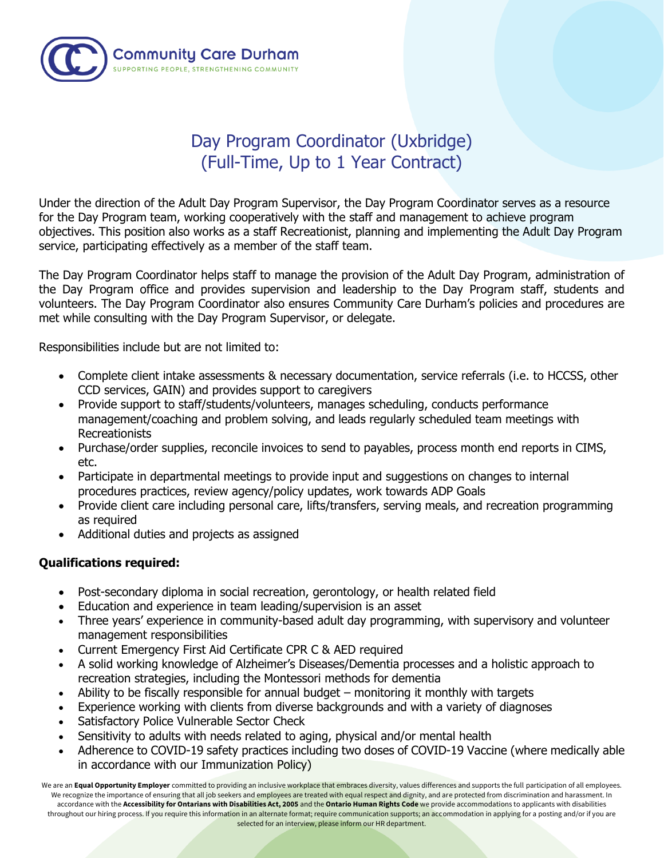

## Day Program Coordinator (Uxbridge) (Full-Time, Up to 1 Year Contract)

Under the direction of the Adult Day Program Supervisor, the Day Program Coordinator serves as a resource for the Day Program team, working cooperatively with the staff and management to achieve program objectives. This position also works as a staff Recreationist, planning and implementing the Adult Day Program service, participating effectively as a member of the staff team.

The Day Program Coordinator helps staff to manage the provision of the Adult Day Program, administration of the Day Program office and provides supervision and leadership to the Day Program staff, students and volunteers. The Day Program Coordinator also ensures Community Care Durham's policies and procedures are met while consulting with the Day Program Supervisor, or delegate.

Responsibilities include but are not limited to:

- Complete client intake assessments & necessary documentation, service referrals (i.e. to HCCSS, other CCD services, GAIN) and provides support to caregivers
- Provide support to staff/students/volunteers, manages scheduling, conducts performance management/coaching and problem solving, and leads regularly scheduled team meetings with Recreationists
- Purchase/order supplies, reconcile invoices to send to payables, process month end reports in CIMS, etc.
- Participate in departmental meetings to provide input and suggestions on changes to internal procedures practices, review agency/policy updates, work towards ADP Goals
- Provide client care including personal care, lifts/transfers, serving meals, and recreation programming as required
- Additional duties and projects as assigned

## **Qualifications required:**

- Post-secondary diploma in social recreation, gerontology, or health related field
- Education and experience in team leading/supervision is an asset
- Three years' experience in community-based adult day programming, with supervisory and volunteer management responsibilities
- Current Emergency First Aid Certificate CPR C & AED required
- A solid working knowledge of Alzheimer's Diseases/Dementia processes and a holistic approach to recreation strategies, including the Montessori methods for dementia
- Ability to be fiscally responsible for annual budget monitoring it monthly with targets
- Experience working with clients from diverse backgrounds and with a variety of diagnoses
- Satisfactory Police Vulnerable Sector Check
- Sensitivity to adults with needs related to aging, physical and/or mental health
- Adherence to COVID-19 safety practices including two doses of COVID-19 Vaccine (where medically able in accordance with our Immunization Policy)

We are an Equal Opportunity Employer committed to providing an inclusive workplace that embraces diversity, values differences and supports the full participation of all employees. We recognize the importance of ensuring that all job seekers and employees are treated with equal respect and dignity, and are protected from discrimination and harassment. In accordance with the **Accessibility for Ontarians with Disabilities Act, 2005** and the **Ontario Human Rights Code** we provide accommodations to applicants with disabilities throughout our hiring process. If you require this information in an alternate format; require communication supports; an accommodation in applying for a posting and/or if you are selected for an interview, please inform our HR department.